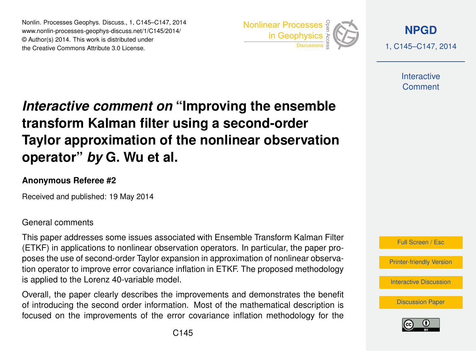Nonlin. Processes Geophys. Discuss., 1, C145–C147, 2014 www.nonlin-processes-geophys-discuss.net/1/C145/2014/ © Author(s) 2014. This work is distributed under Nonlin. Processes Geophys. Discuss., 1, C145–C147, 2014<br>
www.nonlin-processes-geophys-discuss.net/1/C145/2014/<br>
© Author(s) 2014. This work is distributed under<br>
the Creative Commons Attribute 3.0 License.



**[NPGD](http://www.nonlin-processes-geophys-discuss.net)** 1, C145–C147, 2014

> **Interactive** Comment

# *Interactive comment on* **"Improving the ensemble transform Kalman filter using a second-order Taylor approximation of the nonlinear observation operator"** *by* **G. Wu et al.**

### **Anonymous Referee #2**

Received and published: 19 May 2014

#### General comments

This paper addresses some issues associated with Ensemble Transform Kalman Filter (ETKF) in applications to nonlinear observation operators. In particular, the paper proposes the use of second-order Taylor expansion in approximation of nonlinear observation operator to improve error covariance inflation in ETKF. The proposed methodology is applied to the Lorenz 40-variable model.

Overall, the paper clearly describes the improvements and demonstrates the benefit of introducing the second order information. Most of the mathematical description is focused on the improvements of the error covariance inflation methodology for the



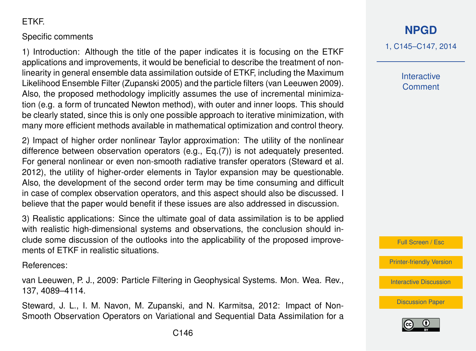## ETKF.

#### Specific comments

1) Introduction: Although the title of the paper indicates it is focusing on the ETKF applications and improvements, it would be beneficial to describe the treatment of nonlinearity in general ensemble data assimilation outside of ETKF, including the Maximum Likelihood Ensemble Filter (Zupanski 2005) and the particle filters (van Leeuwen 2009). Also, the proposed methodology implicitly assumes the use of incremental minimization (e.g. a form of truncated Newton method), with outer and inner loops. This should be clearly stated, since this is only one possible approach to iterative minimization, with many more efficient methods available in mathematical optimization and control theory.

2) Impact of higher order nonlinear Taylor approximation: The utility of the nonlinear difference between observation operators (e.g., Eq.(7)) is not adequately presented. For general nonlinear or even non-smooth radiative transfer operators (Steward et al. 2012), the utility of higher-order elements in Taylor expansion may be questionable. Also, the development of the second order term may be time consuming and difficult in case of complex observation operators, and this aspect should also be discussed. I believe that the paper would benefit if these issues are also addressed in discussion.

3) Realistic applications: Since the ultimate goal of data assimilation is to be applied with realistic high-dimensional systems and observations, the conclusion should include some discussion of the outlooks into the applicability of the proposed improvements of ETKF in realistic situations.

References:

van Leeuwen, P. J., 2009: Particle Filtering in Geophysical Systems. Mon. Wea. Rev., 137, 4089–4114.

Steward, J. L., I. M. Navon, M. Zupanski, and N. Karmitsa, 2012: Impact of Non-Smooth Observation Operators on Variational and Sequential Data Assimilation for a

## **[NPGD](http://www.nonlin-processes-geophys-discuss.net)**

1, C145–C147, 2014

**Interactive Comment** 

Full Screen / Esc

[Printer-friendly Version](http://www.nonlin-processes-geophys-discuss.net/1/C145/2014/npgd-1-C145-2014-print.pdf)

[Interactive Discussion](http://www.nonlin-processes-geophys-discuss.net/1/543/2014/npgd-1-543-2014-discussion.html)

[Discussion Paper](http://www.nonlin-processes-geophys-discuss.net/1/543/2014/npgd-1-543-2014.pdf)